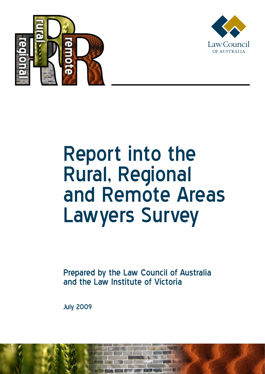



## Report into the Rural, Regional and Remote Areas Lawyers Survey

Prepared by the Law Council of Australia and the Law Institute of Victoria

July 2009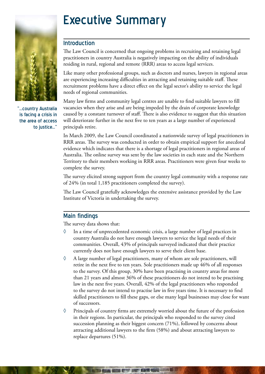

"...country Australia is facing a crisis in the area of access to justice..."

## Executive Summary

## Introduction

The Law Council is concerned that ongoing problems in recruiting and retaining legal practitioners in country Australia is negatively impacting on the ability of individuals residing in rural, regional and remote (RRR) areas to access legal services.

Like many other professional groups, such as doctors and nurses, lawyers in regional areas are experiencing increasing difficulties in attracting and retaining suitable staff. These recruitment problems have a direct effect on the legal sector's ability to service the legal needs of regional communities.

Many law firms and community legal centres are unable to find suitable lawyers to fill vacancies when they arise and are being impeded by the drain of corporate knowledge caused by a constant turnover of staff. There is also evidence to suggest that this situation will deteriorate further in the next five to ten years as a large number of experienced principals retire.

In March 2009, the Law Council coordinated a nationwide survey of legal practitioners in RRR areas. The survey was conducted in order to obtain empirical support for anecdotal evidence which indicates that there is a shortage of legal practitioners in regional areas of Australia. The online survey was sent by the law societies in each state and the Northern Territory to their members working in RRR areas. Practitioners were given four weeks to complete the survey.

The survey elicited strong support from the country legal community with a response rate of 24% (in total 1,185 practitioners completed the survey).

The Law Council gratefully acknowledges the extensive assistance provided by the Law Institute of Victoria in undertaking the survey.

## Main findings

The survey data shows that:

- $\Diamond$  In a time of unprecedented economic crisis, a large number of legal practices in country Australia do not have enough lawyers to service the legal needs of their communities. Overall, 43% of principals surveyed indicated that their practice currently does not have enough lawyers to serve their client base.
- ◊ A large number of legal practitioners, many of whom are sole practitioners, will retire in the next five to ten years. Sole practitioners made up 46% of all responses to the survey. Of this group, 30% have been practising in country areas for more than 21 years and almost 36% of these practitioners do not intend to be practising law in the next five years. Overall, 42% of the legal practitioners who responded to the survey do not intend to practise law in five years time. It is necessary to find skilled practitioners to fill these gaps, or else many legal businesses may close for want of successors.
- ◊ Principals of country firms are extremely worried about the future of the profession in their regions. In particular, the principals who responded to the survey cited succession planning as their biggest concern (71%), followed by concerns about attracting additional lawyers to the firm (58%) and about attracting lawyers to replace departures (51%).